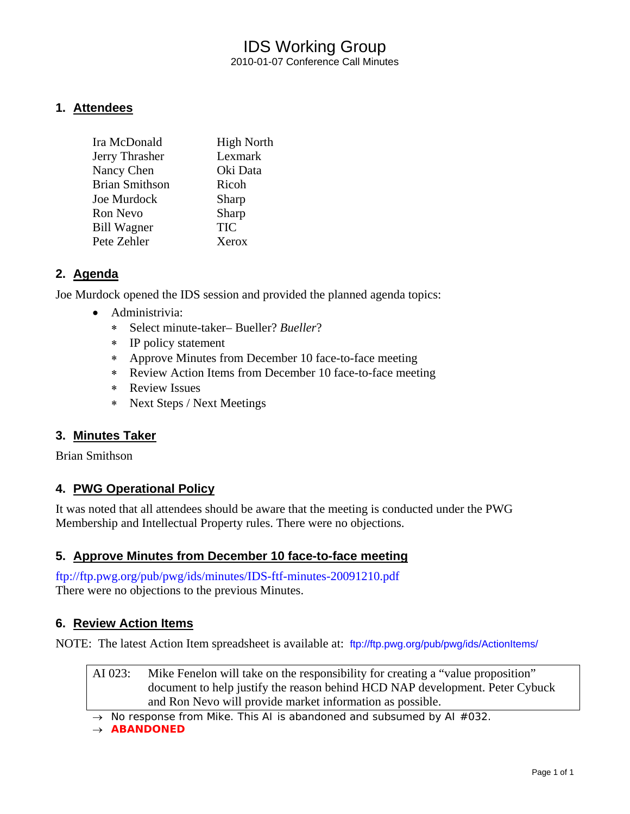## IDS Working Group 2010-01-07 Conference Call Minutes

### **1. Attendees**

| <b>High North</b> |
|-------------------|
| Lexmark           |
| Oki Data          |
| Ricoh             |
| Sharp             |
| Sharp             |
| <b>TIC</b>        |
| Xerox             |
|                   |

## **2. Agenda**

Joe Murdock opened the IDS session and provided the planned agenda topics:

- Administrivia:
	- ∗ Select minute-taker– Bueller? *Bueller*?
	- ∗ IP policy statement
	- ∗ Approve Minutes from December 10 face-to-face meeting
	- ∗ Review Action Items from December 10 face-to-face meeting
	- ∗ Review Issues
	- ∗ Next Steps / Next Meetings

### **3. Minutes Taker**

Brian Smithson

### **4. PWG Operational Policy**

It was noted that all attendees should be aware that the meeting is conducted under the PWG Membership and Intellectual Property rules. There were no objections.

### **5. Approve Minutes from December 10 face-to-face meeting**

<ftp://ftp.pwg.org/pub/pwg/ids/minutes/IDS-ftf-minutes-20091210.pdf> There were no objections to the previous Minutes.

### **6. Review Action Items**

NOTE: The latest Action Item spreadsheet is available at: <ftp://ftp.pwg.org/pub/pwg/ids/ActionItems/>

AI 023: Mike Fenelon will take on the responsibility for creating a "value proposition" document to help justify the reason behind HCD NAP development. Peter Cybuck and Ron Nevo will provide market information as possible.

→ *No response from Mike. This AI is abandoned and subsumed by AI #032.*

→ *ABANDONED*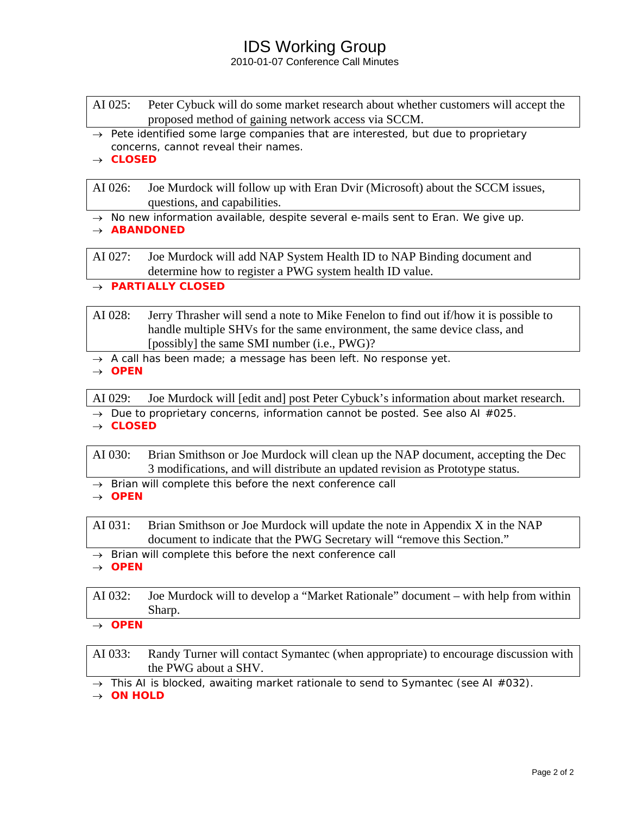## IDS Working Group

#### 2010-01-07 Conference Call Minutes

- AI 025: Peter Cybuck will do some market research about whether customers will accept the proposed method of gaining network access via SCCM.
- → *Pete identified some large companies that are interested, but due to proprietary concerns, cannot reveal their names.*
- → *CLOSED*

AI 026: Joe Murdock will follow up with Eran Dvir (Microsoft) about the SCCM issues, questions, and capabilities.

- → *No new information available, despite several e-mails sent to Eran. We give up.*
- → *ABANDONED*

AI 027: Joe Murdock will add NAP System Health ID to NAP Binding document and determine how to register a PWG system health ID value.

- → *PARTIALLY CLOSED*
- AI 028: Jerry Thrasher will send a note to Mike Fenelon to find out if/how it is possible to handle multiple SHVs for the same environment, the same device class, and [possibly] the same SMI number (i.e., PWG)?
- → *A call has been made; a message has been left. No response yet.*
- → *OPEN*

AI 029: Joe Murdock will [edit and] post Peter Cybuck's information about market research.

- → *Due to proprietary concerns, information cannot be posted. See also AI #025.*
- → *CLOSED*

AI 030: Brian Smithson or Joe Murdock will clean up the NAP document, accepting the Dec 3 modifications, and will distribute an updated revision as Prototype status.

- → *Brian will complete this before the next conference call*
- → *OPEN*

AI 031: Brian Smithson or Joe Murdock will update the note in Appendix X in the NAP document to indicate that the PWG Secretary will "remove this Section."

→ *Brian will complete this before the next conference call*

→ *OPEN* 

AI 032: Joe Murdock will to develop a "Market Rationale" document – with help from within Sharp.

→ *OPEN* 

AI 033: Randy Turner will contact Symantec (when appropriate) to encourage discussion with the PWG about a SHV.

→ *This AI is blocked, awaiting market rationale to send to Symantec (see AI #032).*

→ *ON HOLD*